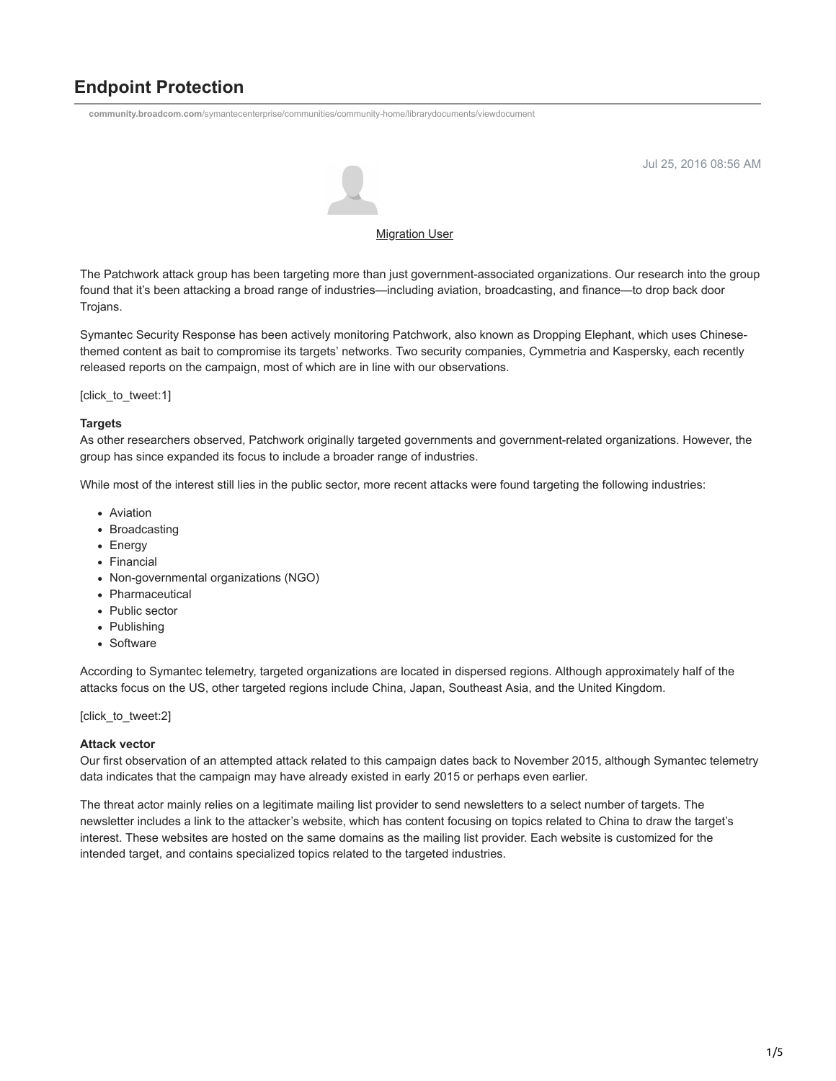# **Endpoint Protection**

**community.broadcom.com**[/symantecenterprise/communities/community-home/librarydocuments/viewdocument](https://community.broadcom.com/symantecenterprise/communities/community-home/librarydocuments/viewdocument?DocumentKey=09308982-77bd-41e0-8269-f2cc9ce3266e&CommunityKey=1ecf5f55-9545-44d6-b0f4-4e4a7f5f5e68&tab=librarydocuments)



Jul 25, 2016 08:56 AM

## [Migration User](https://community.broadcom.com/symantecenterprise/network/members/profile?UserKey=909a8e41-f1e7-45af-914a-628128e3819f)

The Patchwork attack group has been targeting more than just government-associated organizations. Our research into the group found that it's been attacking a broad range of industries—including aviation, broadcasting, and finance—to drop back door Trojans.

Symantec Security Response has been actively monitoring Patchwork, also known as Dropping Elephant, which uses Chinesethemed content as bait to compromise its targets' networks. Two security companies, Cymmetria and Kaspersky, each recently released reports on the campaign, most of which are in line with our observations.

[click\_to\_tweet:1]

## **Targets**

As other researchers observed, Patchwork originally targeted governments and government-related organizations. However, the group has since expanded its focus to include a broader range of industries.

While most of the interest still lies in the public sector, more recent attacks were found targeting the following industries:

- Aviation
- Broadcasting
- Energy
- Financial
- Non-governmental organizations (NGO)
- Pharmaceutical
- Public sector
- Publishing
- Software

According to Symantec telemetry, targeted organizations are located in dispersed regions. Although approximately half of the attacks focus on the US, other targeted regions include China, Japan, Southeast Asia, and the United Kingdom.

[click\_to\_tweet:2]

## **Attack vector**

Our first observation of an attempted attack related to this campaign dates back to November 2015, although Symantec telemetry data indicates that the campaign may have already existed in early 2015 or perhaps even earlier.

The threat actor mainly relies on a legitimate mailing list provider to send newsletters to a select number of targets. The newsletter includes a link to the attacker's website, which has content focusing on topics related to China to draw the target's interest. These websites are hosted on the same domains as the mailing list provider. Each website is customized for the intended target, and contains specialized topics related to the targeted industries.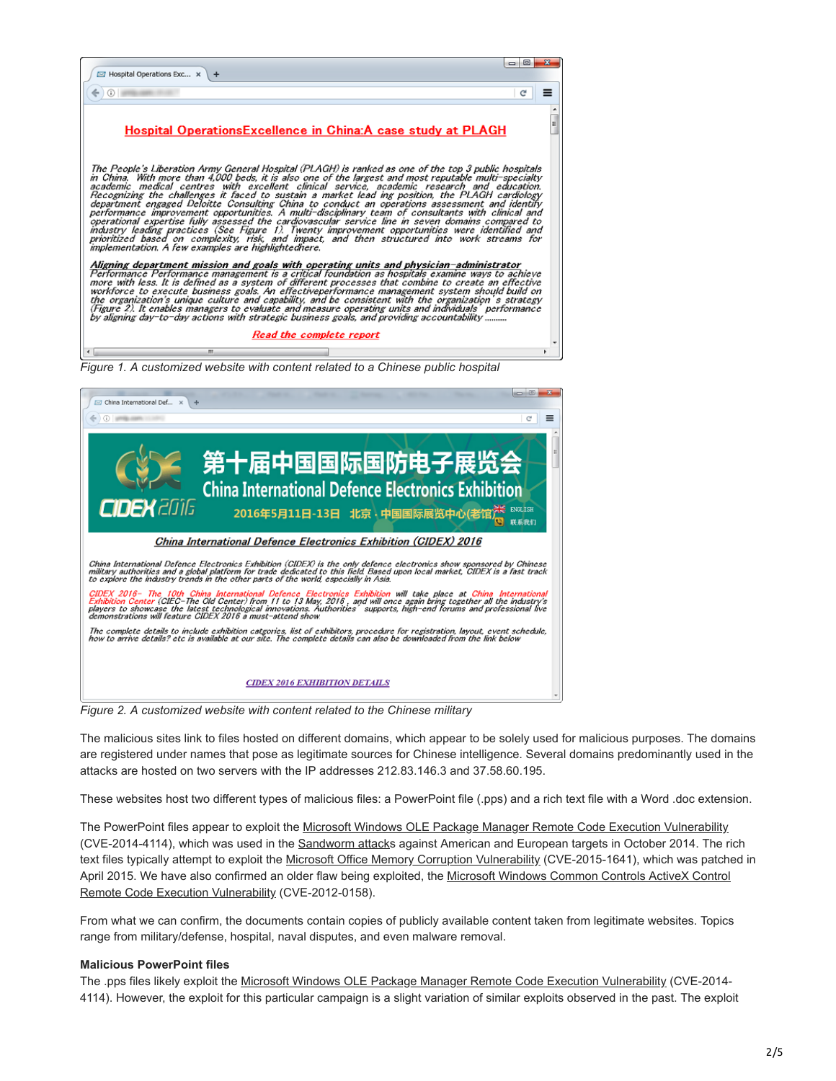

China International Defence Electronics Exhibition (CIDEX) 2016

China International Defence Electronics Exhibition (CIDEX) is the only defence electronics show sponsored by Chinese<br>military authorities and a global platform for trade dedicated to this field. Based upon local market, CI

CIDEX 2016- The 10th China International Defence Electronics Exhibition will take place at China International<br>Exhibition Center (CIEC-The Old Center) from 11 to 13 May, 2016, and will once again bring together all the ind

The complete details to include exhibition catgories, list of exhibitors, procedure for registration, layout, event schedule,<br>how to arrive details? etc is available at our site. The complete details can also be downloaded

#### **CIDEX 2016 EXHIBITION DETAILS**

*Figure 2. A customized website with content related to the Chinese military*

The malicious sites link to files hosted on different domains, which appear to be solely used for malicious purposes. The domains are registered under names that pose as legitimate sources for Chinese intelligence. Several domains predominantly used in the attacks are hosted on two servers with the IP addresses 212.83.146.3 and 37.58.60.195.

联系我们

These websites host two different types of malicious files: a PowerPoint file (.pps) and a rich text file with a Word .doc extension.

The PowerPoint files appear to exploit the [Microsoft Windows OLE Package Manager Remote Code Execution Vulnerability](https://www.symantec.com/security_response/vulnerability.jsp?bid=70419) (CVE-2014-4114), which was used in the [Sandworm attack](https://community.broadcom.com/symantecenterprise/viewdocument?DocumentKey=eecfce70-5f22-45ef-bb5d-ee50304e2fdf&CommunityKey=1ecf5f55-9545-44d6-b0f4-4e4a7f5f5e68&tab=librarydocuments)s against American and European targets in October 2014. The rich text files typically attempt to exploit the [Microsoft Office Memory Corruption Vulnerability](https://www.symantec.com/security_response/vulnerability.jsp?bid=73995) (CVE-2015-1641), which was patched in [April 2015. We have also confirmed an older flaw being exploited, the Microsoft Windows Common Controls ActiveX Control](http://www.securityfocus.com/bid/52911) Remote Code Execution Vulnerability (CVE-2012-0158).

From what we can confirm, the documents contain copies of publicly available content taken from legitimate websites. Topics range from military/defense, hospital, naval disputes, and even malware removal.

#### **Malicious PowerPoint files**

The .pps files likely exploit the [Microsoft Windows OLE Package Manager Remote Code Execution Vulnerability](https://www.symantec.com/security_response/vulnerability.jsp?bid=70419) (CVE-2014-4114). However, the exploit for this particular campaign is a slight variation of similar exploits observed in the past. The exploit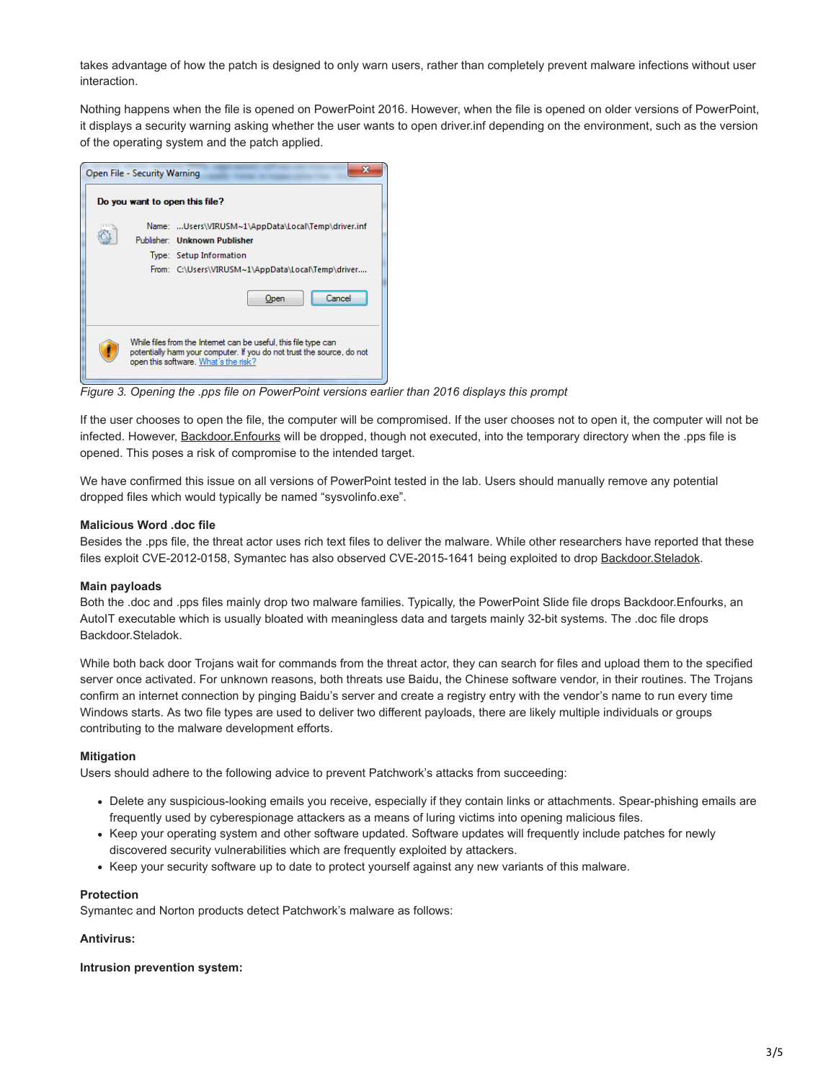takes advantage of how the patch is designed to only warn users, rather than completely prevent malware infections without user interaction.

Nothing happens when the file is opened on PowerPoint 2016. However, when the file is opened on older versions of PowerPoint, it displays a security warning asking whether the user wants to open driver.inf depending on the environment, such as the version of the operating system and the patch applied.

| Open File - Security Warning   |                                                                                                                                                                                            |  |  |  |
|--------------------------------|--------------------------------------------------------------------------------------------------------------------------------------------------------------------------------------------|--|--|--|
| Do you want to open this file? |                                                                                                                                                                                            |  |  |  |
|                                | Name: Users\VIRUSM~1\AppData\Local\Temp\driver.inf<br>Publisher: Unknown Publisher<br>Type: Setup Information<br>From: C:\Users\VIRUSM~1\AppData\Local\Temp\driver<br>Open<br><b>Jance</b> |  |  |  |
|                                | While files from the Internet can be useful, this file type can<br>potentially harm your computer. If you do not trust the source, do not<br>open this software. What's the risk?          |  |  |  |

*Figure 3. Opening the .pps file on PowerPoint versions earlier than 2016 displays this prompt*

If the user chooses to open the file, the computer will be compromised. If the user chooses not to open it, the computer will not be infected. However, [Backdoor.Enfourks](https://www.symantec.com/security_response/writeup.jsp?docid=2016-053106-2208-99) will be dropped, though not executed, into the temporary directory when the .pps file is opened. This poses a risk of compromise to the intended target.

We have confirmed this issue on all versions of PowerPoint tested in the lab. Users should manually remove any potential dropped files which would typically be named "sysvolinfo.exe".

## **Malicious Word .doc file**

Besides the .pps file, the threat actor uses rich text files to deliver the malware. While other researchers have reported that these files exploit CVE-2012-0158, Symantec has also observed CVE-2015-1641 being exploited to drop [Backdoor.Steladok.](https://www.symantec.com/security_response/writeup.jsp?docid=2016-060613-0635-99)

#### **Main payloads**

Both the .doc and .pps files mainly drop two malware families. Typically, the PowerPoint Slide file drops Backdoor.Enfourks, an AutoIT executable which is usually bloated with meaningless data and targets mainly 32-bit systems. The .doc file drops Backdoor.Steladok.

While both back door Trojans wait for commands from the threat actor, they can search for files and upload them to the specified server once activated. For unknown reasons, both threats use Baidu, the Chinese software vendor, in their routines. The Trojans confirm an internet connection by pinging Baidu's server and create a registry entry with the vendor's name to run every time Windows starts. As two file types are used to deliver two different payloads, there are likely multiple individuals or groups contributing to the malware development efforts.

#### **Mitigation**

Users should adhere to the following advice to prevent Patchwork's attacks from succeeding:

- Delete any suspicious-looking emails you receive, especially if they contain links or attachments. Spear-phishing emails are frequently used by cyberespionage attackers as a means of luring victims into opening malicious files.
- Keep your operating system and other software updated. Software updates will frequently include patches for newly discovered security vulnerabilities which are frequently exploited by attackers.
- Keep your security software up to date to protect yourself against any new variants of this malware.

#### **Protection**

Symantec and Norton products detect Patchwork's malware as follows:

## **Antivirus:**

**Intrusion prevention system:**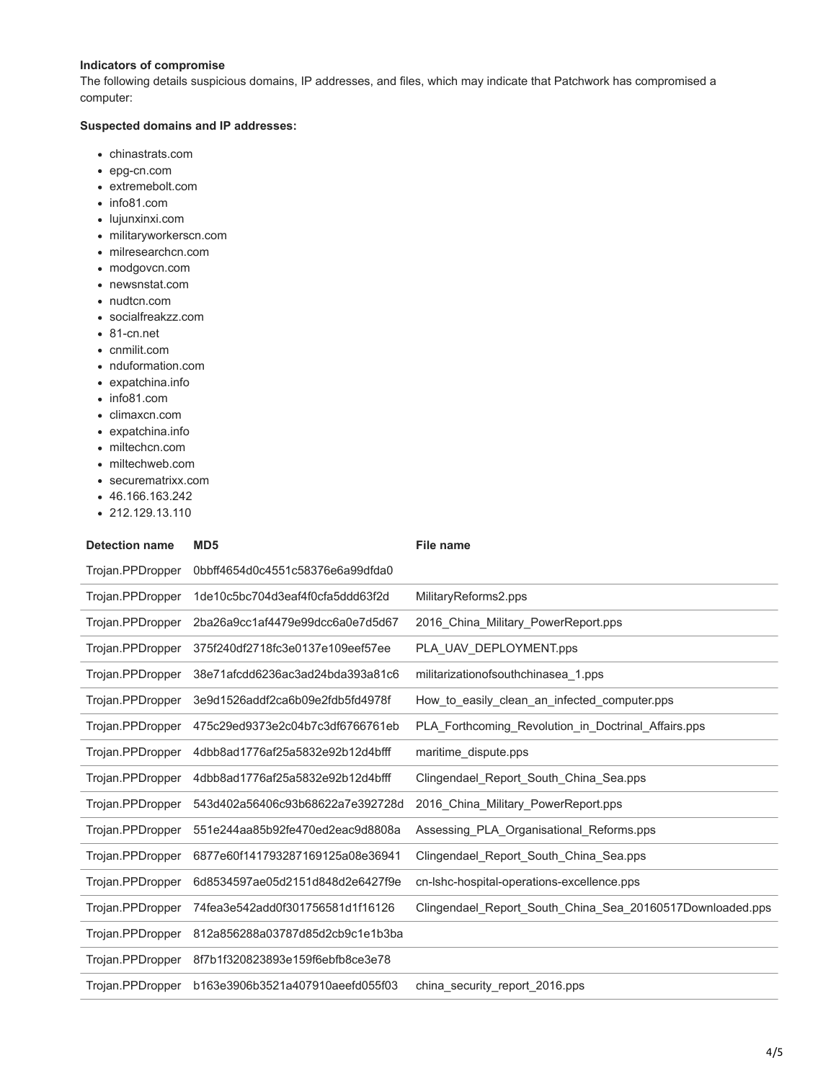## **Indicators of compromise**

The following details suspicious domains, IP addresses, and files, which may indicate that Patchwork has compromised a computer:

## **Suspected domains and IP addresses:**

- chinastrats.com
- epg-cn.com
- extremebolt.com
- info81.com
- lujunxinxi.com
- militaryworkerscn.com
- milresearchcn.com
- modgovcn.com
- newsnstat.com
- nudtcn.com
- socialfreakzz.com
- 81-cn.net
- cnmilit.com
- nduformation.com
- expatchina.info
- info81.com
- climaxcn.com
- expatchina.info
- miltechcn.com
- miltechweb.com
- securematrixx.com
- 46.166.163.242
- 212.129.13.110

| <b>Detection name</b> | MD <sub>5</sub>                  | <b>File name</b>                                          |
|-----------------------|----------------------------------|-----------------------------------------------------------|
| Trojan.PPDropper      | 0bbff4654d0c4551c58376e6a99dfda0 |                                                           |
| Trojan.PPDropper      | 1de10c5bc704d3eaf4f0cfa5ddd63f2d | MilitaryReforms2.pps                                      |
| Trojan.PPDropper      | 2ba26a9cc1af4479e99dcc6a0e7d5d67 | 2016 China Military PowerReport.pps                       |
| Trojan.PPDropper      | 375f240df2718fc3e0137e109eef57ee | PLA UAV DEPLOYMENT.pps                                    |
| Trojan.PPDropper      | 38e71afcdd6236ac3ad24bda393a81c6 | militarization of south chinase a 1.pps                   |
| Trojan.PPDropper      | 3e9d1526addf2ca6b09e2fdb5fd4978f | How to easily clean an infected computer.pps              |
| Trojan.PPDropper      | 475c29ed9373e2c04b7c3df6766761eb | PLA_Forthcoming_Revolution_in_Doctrinal_Affairs.pps       |
| Trojan.PPDropper      | 4dbb8ad1776af25a5832e92b12d4bfff | maritime_dispute.pps                                      |
| Trojan.PPDropper      | 4dbb8ad1776af25a5832e92b12d4bfff | Clingendael_Report_South_China_Sea.pps                    |
| Trojan.PPDropper      | 543d402a56406c93b68622a7e392728d | 2016_China_Military_PowerReport.pps                       |
| Trojan.PPDropper      | 551e244aa85b92fe470ed2eac9d8808a | Assessing_PLA_Organisational_Reforms.pps                  |
| Trojan.PPDropper      | 6877e60f141793287169125a08e36941 | Clingendael_Report_South_China_Sea.pps                    |
| Trojan.PPDropper      | 6d8534597ae05d2151d848d2e6427f9e | cn-Ishc-hospital-operations-excellence.pps                |
| Trojan.PPDropper      | 74fea3e542add0f301756581d1f16126 | Clingendael Report South China Sea 20160517Downloaded.pps |
| Trojan.PPDropper      | 812a856288a03787d85d2cb9c1e1b3ba |                                                           |
| Trojan.PPDropper      | 8f7b1f320823893e159f6ebfb8ce3e78 |                                                           |
| Trojan.PPDropper      | b163e3906b3521a407910aeefd055f03 | china security report 2016.pps                            |
|                       |                                  |                                                           |